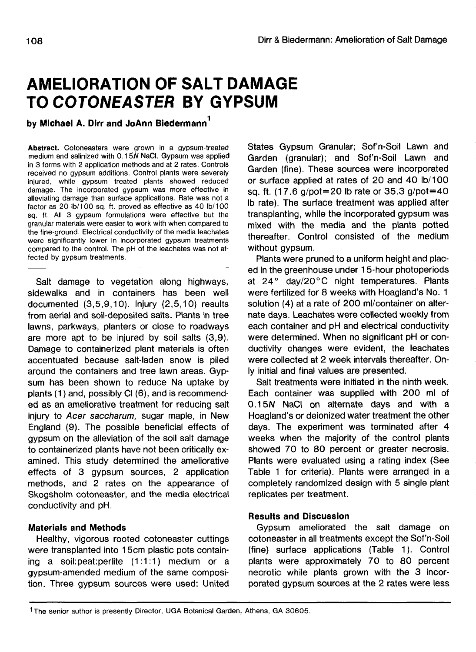# **AMELIORATION OF SALT DAMAGE TO COTONEASTER BY GYPSUM**

**by Michael A. Dirr and JoAnn Biedermann**

**Abstract.** Cotoneasters were grown in a gypsum-treated medium and salinized with 0.15N NaCI. Gypsum was applied in 3 forms with 2 application methods and at 2 rates. Controls received no gypsum additions. Control plants were severely injured, while gypsum treated plants showed reduced damage. The incorporated gypsum was more effective in alleviating damage than surface applications. Rate was not a factor as 20 lb/100 sq. ft. proved as effective as 40 lb/100 sq. ft. All 3 gypsum formulations were effective but the granular materials were easier to work with when compared to the fine-ground. Electrical conductivity of the media leachates were significantly lower in incorporated gypsum treatments compared to the control. The pH of the leachates was not affected by gypsum treatments.

Salt damage to vegetation along highways, sidewalks and in containers has been well documented (3,5,9,10). Injury (2,5,10) results from aerial and soil-deposited salts. Plants in tree lawns, parkways, planters or close to roadways are more apt to be injured by soil salts (3,9). Damage to containerized plant materials is often accentuated because salt-laden snow is piled around the containers and tree lawn areas. Gypsum has been shown to reduce Na uptake by plants (1) and, possibly Cl (6), and is recommended as an ameliorative treatment for reducing salt injury to Acer saccharum, sugar maple, in New England (9). The possible beneficial effects of gypsum on the alleviation of the soil salt damage to containerized plants have not been critically examined. This study determined the ameliorative effects of 3 gypsum sources, 2 application methods, and 2 rates on the appearance of Skogsholm cotoneaster, and the media electrical conductivity and pH.

# **Materials and Methods**

Healthy, vigorous rooted cotoneaster cuttings were transplanted into 15cm plastic pots containing a soil:peat:perlite (1:1:1) medium or a gypsum-amended medium of the same composition. Three gypsum sources were used: United States Gypsum Granular; Sof'n-Soil Lawn and Garden (granular); and Sof'n-Soil Lawn and Garden (fine). These sources were incorporated or surface applied at rates of 20 and 40 lb/100 sq. ft. (17.6 g/pot=20 Ib rate or 35.3 g/pot=40 Ib rate). The surface treatment was applied after transplanting, while the incorporated gypsum was mixed with the media and the plants potted thereafter. Control consisted of the medium without gypsum.

Plants were pruned to a uniform height and placed in the greenhouse under 15-hour photoperiods at 24° day/20°C night temperatures. Plants were fertilized for 8 weeks with Hoagland's No. 1 solution (4) at a rate of 200 ml/container on alternate days. Leachates were collected weekly from each container and pH and electrical conductivity were determined. When no significant pH or conductivity changes were evident, the leachates were collected at 2 week intervals thereafter. Only initial and final values are presented.

Salt treatments were initiated in the ninth week. Each container was supplied with 200 ml of 0.15N NaCI on alternate days and with a Hoagland's or deionized water treatment the other days. The experiment was terminated after 4 weeks when the majority of the control plants showed 70 to 80 percent or greater necrosis. Plants were evaluated using a rating index (See Table 1 for criteria). Plants were arranged in a completely randomized design with 5 single plant replicates per treatment.

# **Results and Discussion**

Gypsum ameliorated the salt damage on cotoneaster in all treatments except the Sof'n-Soil (fine) surface applications (Table 1). Control plants were approximately 70 to 80 percent necrotic while plants grown with the 3 incorporated gypsum sources at the 2 rates were less

<sup>&</sup>lt;sup>1</sup>The senior author is presently Director, UGA Botanical Garden, Athens, GA 30605.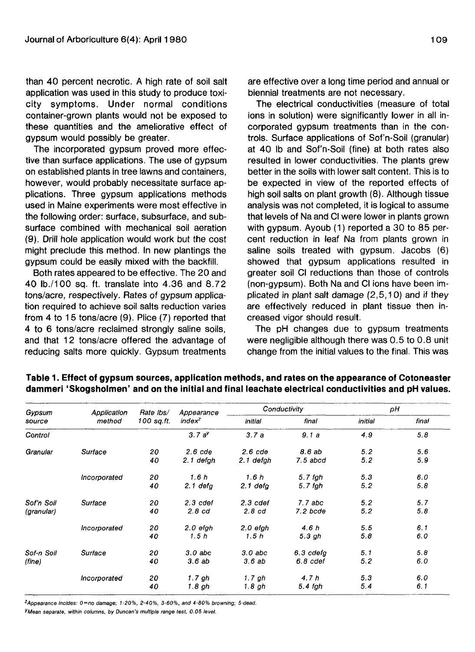than 40 percent necrotic. A high rate of soil salt application was used in this study to produce toxicity symptoms. Under normal conditions container-grown plants would not be exposed to these quantities and the ameliorative effect of gypsum would possibly be greater.

The incorporated gypsum proved more effective than surface applications. The use of gypsum on established plants in tree lawns and containers, however, would probably necessitate surface applications. Three gypsum applications methods used in Maine experiments were most effective in the following order: surface, subsurface, and subsurface combined with mechanical soil aeration (9). Drill hole application would work but the cost might preclude this method. In new plantings the gypsum could be easily mixed with the backfill.

Both rates appeared to be effective. The 20 and 40 lb./100 sq. ft. translate into 4.36 and 8.72 tons/acre, respectively. Rates of gypsum application required to achieve soil salts reduction varies from 4 to 15 tons/acre (9). Plice (7) reported that 4 to 6 tons/acre reclaimed strongly saline soils, and that 12 tons/acre offered the advantage of reducing salts more quickly. Gypsum treatments

are effective over a long time period and annual or biennial treatments are not necessary.

The electrical conductivities (measure of total ions in solution) were significantly lower in all incorporated gypsum treatments than in the controls. Surface applications of Sof'n-Soil (granular) at 40 Ib and Sof'n-Soil (fine) at both rates also resulted in lower conductivities. The plants grew better in the soils with lower salt content. This is to be expected in view of the reported effects of high soil salts on plant growth (8). Although tissue analysis was not completed, it is logical to assume that levels of Na and Cl were lower in plants grown with gypsum. Ayoub (1) reported a 30 to 85 percent reduction in leaf Na from plants grown in saline soils treated with gypsum. Jacobs (6) showed that gypsum applications resulted in greater soil Cl reductions than those of controls (non-gypsum). Both Na and Cl ions have been implicated in plant salt damage (2,5,10) and if they are effectively reduced in plant tissue then increased vigor should result.

The pH changes due to gypsum treatments were negligible although there was 0.5 to 0.8 unit change from the initial values to the final. This was

| Gypsum<br>source | Application<br>method | Rate lbs/<br>100 sq.ft. | Appearance<br>$index^z$ | Conductivity |              | pН      |       |
|------------------|-----------------------|-------------------------|-------------------------|--------------|--------------|---------|-------|
|                  |                       |                         |                         | initial      | final        | initial | final |
| Control          |                       |                         | 3.7a <sup>y</sup>       | 3.7a         | 9.1a         | 4.9     | 5.8   |
| Granular         | Surface               | 20                      | $2.6$ $cde$             | $2.6$ $cde$  | 8.6 ab       | 5.2     | 5.6   |
|                  |                       | 40                      | 2.1 defah               | 2.1 defah    | $7.5$ abcd   | 5.2     | 5.9   |
|                  | Incorporated          | 20                      | 1.6h                    | 1.6h         | $5.7$ fgh    | 5.3     | 6.0   |
|                  |                       | 40                      | $2.1$ defa              | $2.1$ defa   | $5.7$ fgh    | 5.2     | 5.8   |
| Sof'n Soil       | Surface               | 20                      | $2.3$ $\cot$            | $2.3$ $cdef$ | $7.7$ abc    | 5.2     | 5.7   |
| (granular)       |                       | 40                      | 2.8 <sub>c</sub>        | 2.8cd        | $7.2$ bcde   | 5.2     | 5.8   |
|                  | Incorporated          | 20                      | $2.0$ efgh              | 2.0 efah     | 4.6h         | 5.5     | 6.1   |
|                  |                       | 40                      | 1.5h                    | 1.5h         | 5.3 gh       | 5.8     | 6.0   |
| Sof-n Soil       | Surface               | 20                      | $3.0$ abc               | $3.0$ abc    | 6.3 cdefa    | 5.1     | 5.8   |
| (fine)           |                       | 40                      | 3.6ab                   | 3.6ab        | $6.8$ $cdef$ | 5.2     | 6.0   |
|                  | Incorporated          | 20                      | 1.7 gh                  | 1.7 gh       | 4.7h         | 5.3     | 6.0   |
|                  |                       | 40                      | 1.8 gh                  | 1.8 gh       | 5.4 fgh      | 5.4     | 6.1   |

# **Table 1. Effect of gypsum sources, application methods, and rates on the appearance of Cotoneaster dammeri 'Skogsholmen' and on the initial and final leachate electrical conductivities and pH values.**

 $z_{\text{Appearance}}$  incides:  $0 =$ no damage; 1-20%, 2-40%, 3-60%, and 4-80% browning; 5-dead.

YMean separate, within columns, by Duncan's multiple range test, 0.05 level.